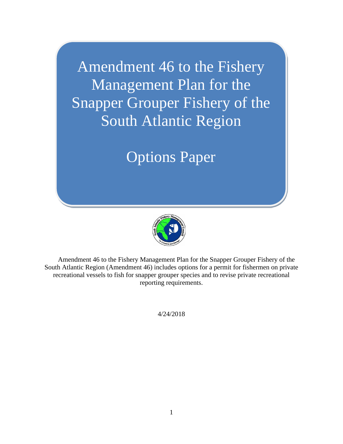Amendment 46 to the Fishery Management Plan for the Snapper Grouper Fishery of the South Atlantic Region

# Options Paper



Amendment 46 to the Fishery Management Plan for the Snapper Grouper Fishery of the South Atlantic Region (Amendment 46) includes options for a permit for fishermen on private recreational vessels to fish for snapper grouper species and to revise private recreational reporting requirements.

4/24/2018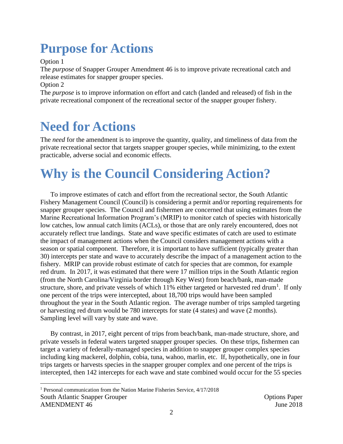# **Purpose for Actions**

Option 1

The *purpose* of Snapper Grouper Amendment 46 is to improve private recreational catch and release estimates for snapper grouper species.

Option 2

The *purpose* is to improve information on effort and catch (landed and released) of fish in the private recreational component of the recreational sector of the snapper grouper fishery.

## **Need for Actions**

The *need* for the amendment is to improve the quantity, quality, and timeliness of data from the private recreational sector that targets snapper grouper species, while minimizing, to the extent practicable, adverse social and economic effects.

# **Why is the Council Considering Action?**

To improve estimates of catch and effort from the recreational sector, the South Atlantic Fishery Management Council (Council) is considering a permit and/or reporting requirements for snapper grouper species. The Council and fishermen are concerned that using estimates from the Marine Recreational Information Program's (MRIP) to monitor catch of species with historically low catches, low annual catch limits (ACLs), or those that are only rarely encountered, does not accurately reflect true landings. State and wave specific estimates of catch are used to estimate the impact of management actions when the Council considers management actions with a season or spatial component. Therefore, it is important to have sufficient (typically greater than 30) intercepts per state and wave to accurately describe the impact of a management action to the fishery. MRIP can provide robust estimate of catch for species that are common, for example red drum. In 2017, it was estimated that there were 17 million trips in the South Atlantic region (from the North Carolina/Virginia border through Key West) from beach/bank, man-made structure, shore, and private vessels of which  $11\%$  either targeted or harvested red drum<sup>1</sup>. If only one percent of the trips were intercepted, about 18,700 trips would have been sampled throughout the year in the South Atlantic region. The average number of trips sampled targeting or harvesting red drum would be 780 intercepts for state (4 states) and wave (2 months). Sampling level will vary by state and wave.

By contrast, in 2017, eight percent of trips from beach/bank, man-made structure, shore, and private vessels in federal waters targeted snapper grouper species. On these trips, fishermen can target a variety of federally-managed species in addition to snapper grouper complex species including king mackerel, dolphin, cobia, tuna, wahoo, marlin, etc. If, hypothetically, one in four trips targets or harvests species in the snapper grouper complex and one percent of the trips is intercepted, then 142 intercepts for each wave and state combined would occur for the 55 species

South Atlantic Snapper Grouper  $\Box$ AMENDMENT 46 June 2018 <sup>1</sup> Personal communication from the Nation Marine Fisheries Service, 4/17/2018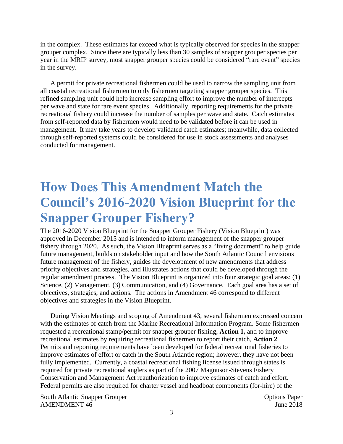in the complex. These estimates far exceed what is typically observed for species in the snapper grouper complex. Since there are typically less than 30 samples of snapper grouper species per year in the MRIP survey, most snapper grouper species could be considered "rare event" species in the survey.

A permit for private recreational fishermen could be used to narrow the sampling unit from all coastal recreational fishermen to only fishermen targeting snapper grouper species. This refined sampling unit could help increase sampling effort to improve the number of intercepts per wave and state for rare event species. Additionally, reporting requirements for the private recreational fishery could increase the number of samples per wave and state. Catch estimates from self-reported data by fishermen would need to be validated before it can be used in management. It may take years to develop validated catch estimates; meanwhile, data collected through self-reported systems could be considered for use in stock assessments and analyses conducted for management.

## **How Does This Amendment Match the Council's 2016-2020 Vision Blueprint for the Snapper Grouper Fishery?**

The 2016-2020 Vision Blueprint for the Snapper Grouper Fishery (Vision Blueprint) was approved in December 2015 and is intended to inform management of the snapper grouper fishery through 2020. As such, the Vision Blueprint serves as a "living document" to help guide future management, builds on stakeholder input and how the South Atlantic Council envisions future management of the fishery, guides the development of new amendments that address priority objectives and strategies, and illustrates actions that could be developed through the regular amendment process. The Vision Blueprint is organized into four strategic goal areas: (1) Science, (2) Management, (3) Communication, and (4) Governance. Each goal area has a set of objectives, strategies, and actions. The actions in Amendment 46 correspond to different objectives and strategies in the Vision Blueprint.

During Vision Meetings and scoping of Amendment 43, several fishermen expressed concern with the estimates of catch from the Marine Recreational Information Program. Some fishermen requested a recreational stamp/permit for snapper grouper fishing, **Action 1,** and to improve recreational estimates by requiring recreational fishermen to report their catch, **Action 2**. Permits and reporting requirements have been developed for federal recreational fisheries to improve estimates of effort or catch in the South Atlantic region; however, they have not been fully implemented. Currently, a coastal recreational fishing license issued through states is required for private recreational anglers as part of the 2007 Magnuson-Stevens Fishery Conservation and Management Act reauthorization to improve estimates of catch and effort. Federal permits are also required for charter vessel and headboat components (for-hire) of the

South Atlantic Snapper Grouper  $\blacksquare$ AMENDMENT 46 June 2018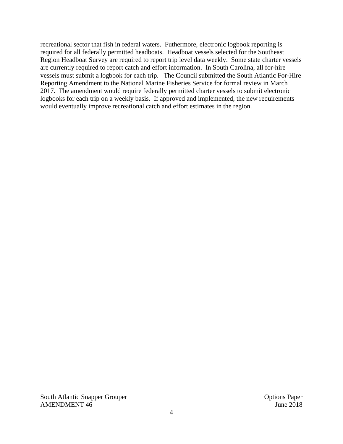recreational sector that fish in federal waters. Futhermore, electronic logbook reporting is required for all federally permitted headboats. Headboat vessels selected for the Southeast Region Headboat Survey are required to report trip level data weekly. Some state charter vessels are currently required to report catch and effort information. In South Carolina, all for-hire vessels must submit a logbook for each trip. The Council submitted the South Atlantic For-Hire Reporting Amendment to the National Marine Fisheries Service for formal review in March 2017. The amendment would require federally permitted charter vessels to submit electronic logbooks for each trip on a weekly basis. If approved and implemented, the new requirements would eventually improve recreational catch and effort estimates in the region.

South Atlantic Snapper Grouper  $\blacksquare$ AMENDMENT 46 June 2018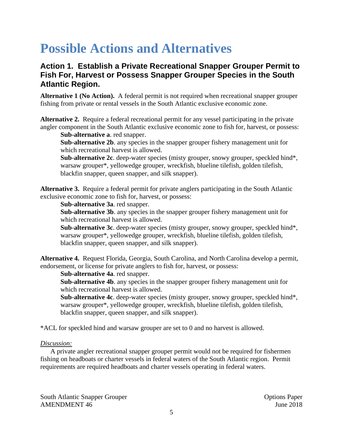## **Possible Actions and Alternatives**

### **Action 1. Establish a Private Recreational Snapper Grouper Permit to Fish For, Harvest or Possess Snapper Grouper Species in the South Atlantic Region.**

**Alternative 1 (No Action).** A federal permit is not required when recreational snapper grouper fishing from private or rental vessels in the South Atlantic exclusive economic zone.

**Alternative 2.** Require a federal recreational permit for any vessel participating in the private angler component in the South Atlantic exclusive economic zone to fish for, harvest, or possess:

**Sub-alternative a**. red snapper.

**Sub-alternative 2b**. any species in the snapper grouper fishery management unit for which recreational harvest is allowed.

**Sub**-**alternative 2c**. deep-water species (misty grouper, snowy grouper, speckled hind\*, warsaw grouper\*, yellowedge grouper, wreckfish, blueline tilefish, golden tilefish, blackfin snapper, queen snapper, and silk snapper).

**Alternative 3.** Require a federal permit for private anglers participating in the South Atlantic exclusive economic zone to fish for, harvest, or possess:

**Sub-alternative 3a**. red snapper.

**Sub-alternative 3b**. any species in the snapper grouper fishery management unit for which recreational harvest is allowed.

**Sub**-**alternative 3c**. deep-water species (misty grouper, snowy grouper, speckled hind\*, warsaw grouper\*, yellowedge grouper, wreckfish, blueline tilefish, golden tilefish, blackfin snapper, queen snapper, and silk snapper).

**Alternative 4.** Request Florida, Georgia, South Carolina, and North Carolina develop a permit, endorsement, or license for private anglers to fish for, harvest, or possess:

**Sub-alternative 4a**. red snapper.

**Sub-alternative 4b**. any species in the snapper grouper fishery management unit for which recreational harvest is allowed.

**Sub**-**alternative 4c**. deep-water species (misty grouper, snowy grouper, speckled hind\*, warsaw grouper\*, yellowedge grouper, wreckfish, blueline tilefish, golden tilefish, blackfin snapper, queen snapper, and silk snapper).

\*ACL for speckled hind and warsaw grouper are set to 0 and no harvest is allowed.

#### *Discussion:*

A private angler recreational snapper grouper permit would not be required for fishermen fishing on headboats or charter vessels in federal waters of the South Atlantic region. Permit requirements are required headboats and charter vessels operating in federal waters.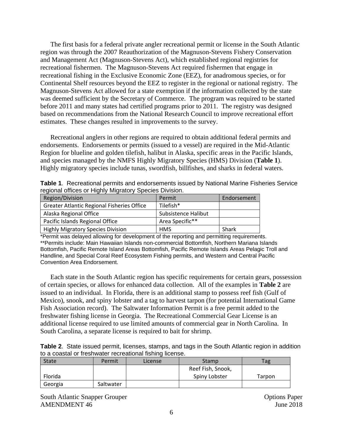The first basis for a federal private angler recreational permit or license in the South Atlantic region was through the 2007 Reauthorization of the Magnuson-Stevens Fishery Conservation and Management Act (Magnuson-Stevens Act), which established regional registries for recreational fishermen. The Magnuson-Stevens Act required fishermen that engage in recreational fishing in the Exclusive Economic Zone (EEZ), for anadromous species, or for Continental Shelf resources beyond the EEZ to register in the regional or national registry. The Magnuson-Stevens Act allowed for a state exemption if the information collected by the state was deemed sufficient by the Secretary of Commerce. The program was required to be started before 2011 and many states had certified programs prior to 2011. The registry was designed based on recommendations from the National Research Council to improve recreational effort estimates. These changes resulted in improvements to the survey.

Recreational anglers in other regions are required to obtain additional federal permits and endorsements. Endorsements or permits (issued to a vessel) are required in the Mid-Atlantic Region for blueline and golden tilefish, halibut in Alaska, specific areas in the Pacific Islands, and species managed by the NMFS Highly Migratory Species (HMS) Division (**Table 1**). Highly migratory species include tunas, swordfish, billfishes, and sharks in federal waters.

| Table 1. Recreational permits and endorsements issued by National Marine Fisheries Service |  |  |
|--------------------------------------------------------------------------------------------|--|--|
| regional offices or Highly Migratory Species Division.                                     |  |  |

| Region/Division                            | Permit              | Endorsement |
|--------------------------------------------|---------------------|-------------|
| Greater Atlantic Regional Fisheries Office | Tilefish*           |             |
| Alaska Regional Office                     | Subsistence Halibut |             |
| Pacific Islands Regional Office            | Area Specific**     |             |
| <b>Highly Migratory Species Division</b>   | <b>HMS</b>          | Shark       |

\*Permit was delayed allowing for development of the reporting and permitting requirements. \*\*Permits include: Main Hawaiian Islands non-commercial Bottomfish, Northern Mariana Islands Bottomfish, Pacific Remote Island Areas Bottomfish, Pacific Remote Islands Areas Pelagic Troll and Handline, and Special Coral Reef Ecosystem Fishing permits, and Western and Central Pacific Convention Area Endorsement.

Each state in the South Atlantic region has specific requirements for certain gears, possession of certain species, or allows for enhanced data collection. All of the examples in **Table 2** are issued to an individual. In Florida, there is an additional stamp to possess reef fish (Gulf of Mexico), snook, and spiny lobster and a tag to harvest tarpon (for potential International Game Fish Association record). The Saltwater Information Permit is a free permit added to the freshwater fishing license in Georgia. The Recreational Commercial Gear License is an additional license required to use limited amounts of commercial gear in North Carolina. In South Carolina, a separate license is required to bait for shrimp.

|                                                          |  | Table 2. State issued permit, licenses, stamps, and tags in the South Atlantic region in addition |
|----------------------------------------------------------|--|---------------------------------------------------------------------------------------------------|
| to a coastal or freshwater recreational fishing license. |  |                                                                                                   |

| <b>State</b> | Permit    | License | Stamp             | Tag    |  |
|--------------|-----------|---------|-------------------|--------|--|
|              |           |         | Reef Fish, Snook, |        |  |
| Florida      |           |         | Spiny Lobster     | Tarpon |  |
| Georgia      | Saltwater |         |                   |        |  |

South Atlantic Snapper Grouper  $\blacksquare$ AMENDMENT 46 June 2018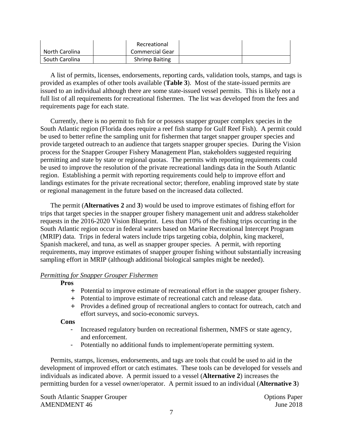|                | Recreational          |  |
|----------------|-----------------------|--|
| North Carolina | Commercial Gear       |  |
| South Carolina | <b>Shrimp Baiting</b> |  |

A list of permits, licenses, endorsements, reporting cards, validation tools, stamps, and tags is provided as examples of other tools available (**Table 3**). Most of the state-issued permits are issued to an individual although there are some state-issued vessel permits. This is likely not a full list of all requirements for recreational fishermen. The list was developed from the fees and requirements page for each state.

Currently, there is no permit to fish for or possess snapper grouper complex species in the South Atlantic region (Florida does require a reef fish stamp for Gulf Reef Fish). A permit could be used to better refine the sampling unit for fishermen that target snapper grouper species and provide targeted outreach to an audience that targets snapper grouper species. During the Vision process for the Snapper Grouper Fishery Management Plan, stakeholders suggested requiring permitting and state by state or regional quotas. The permits with reporting requirements could be used to improve the resolution of the private recreational landings data in the South Atlantic region. Establishing a permit with reporting requirements could help to improve effort and landings estimates for the private recreational sector; therefore, enabling improved state by state or regional management in the future based on the increased data collected.

The permit (**Alternatives 2** and **3**) would be used to improve estimates of fishing effort for trips that target species in the snapper grouper fishery management unit and address stakeholder requests in the 2016-2020 Vision Blueprint. Less than 10% of the fishing trips occurring in the South Atlantic region occur in federal waters based on Marine Recreational Intercept Program (MRIP) data. Trips in federal waters include trips targeting cobia, dolphin, king mackerel, Spanish mackerel, and tuna, as well as snapper grouper species. A permit, with reporting requirements, may improve estimates of snapper grouper fishing without substantially increasing sampling effort in MRIP (although additional biological samples might be needed).

#### *Permitting for Snapper Grouper Fishermen*

**Pros**

- + Potential to improve estimate of recreational effort in the snapper grouper fishery.
- + Potential to improve estimate of recreational catch and release data.
- + Provides a defined group of recreational anglers to contact for outreach, catch and effort surveys, and socio-economic surveys.

**Cons**

- Increased regulatory burden on recreational fishermen, NMFS or state agency, and enforcement.
- Potentially no additional funds to implement/operate permitting system.

Permits, stamps, licenses, endorsements, and tags are tools that could be used to aid in the development of improved effort or catch estimates. These tools can be developed for vessels and individuals as indicated above. A permit issued to a vessel (**Alternative 2**) increases the permitting burden for a vessel owner/operator. A permit issued to an individual (**Alternative 3**)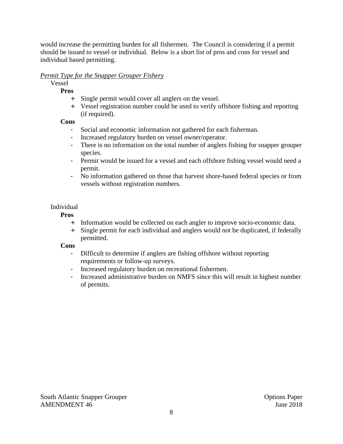would increase the permitting burden for all fishermen. The Council is considering if a permit should be issued to vessel or individual. Below is a short list of pros and cons for vessel and individual based permitting.

#### *Permit Type for the Snapper Grouper Fishery*

Vessel

**Pros**

- + Single permit would cover all anglers on the vessel.
- + Vessel registration number could be used to verify offshore fishing and reporting (if required).

#### **Cons**

- Social and economic information not gathered for each fisherman.
- Increased regulatory burden on vessel owner/operator.
- There is no information on the total number of anglers fishing for snapper grouper species.
- Permit would be issued for a vessel and each offshore fishing vessel would need a permit.
- No information gathered on those that harvest shore-based federal species or from vessels without registration numbers.

#### Individual

**Pros**

- + Information would be collected on each angler to improve socio-economic data.
- + Single permit for each individual and anglers would not be duplicated, if federally permitted.

#### **Cons**

- Difficult to determine if anglers are fishing offshore without reporting requirements or follow-up surveys.
- Increased regulatory burden on recreational fishermen.
- Increased administrative burden on NMFS since this will result in highest number of permits.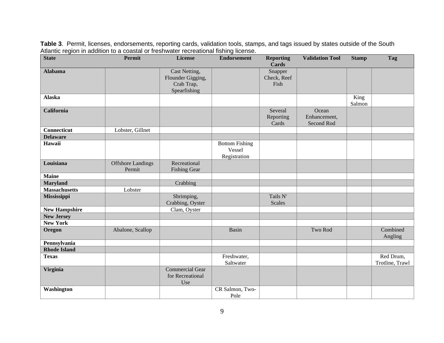**State Permit License Endorsement Reporting Cards Validation Tool Stamp Tag Alabama** Cast Netting, Flounder Gigging, Crab Trap, Spearfishing Snapper Check, Reef Fish **Alaska** King Salmon **California** Several **Several Several Several Several Several Several Several Several Several Several Several Several Several Several Several Several Several Several Several Several Several Several Several Several Several** Reporting Cards **Ocean** Enhancement, Second Rod **Connecticut** Lobster, Gillnet **Delaware** Hawaii Bottom Fishing Vessel Registration **Louisiana Offshore Landings** Permit Recreational Fishing Gear **Maine Maryland** Crabbing **Massachusetts** Lobster **Mississippi** Shrimping, Crabbing, Oyster Tails N' Scales **New Hampshire** Clam, Oyster **New Jersey New York Oregon** Abalone, Scallop **Basin** Basin Two Rod Two Rod Combined Angling **Pennsylvania Rhode Island Texas** Freshwater, Saltwater Red Drum, Trotline, Trawl **Virginia** Commercial Gear for Recreational Use **Washington** CR Salmon, Two-Pole

**Table 3**. Permit, licenses, endorsements, reporting cards, validation tools, stamps, and tags issued by states outside of the South Atlantic region in addition to a coastal or freshwater recreational fishing license.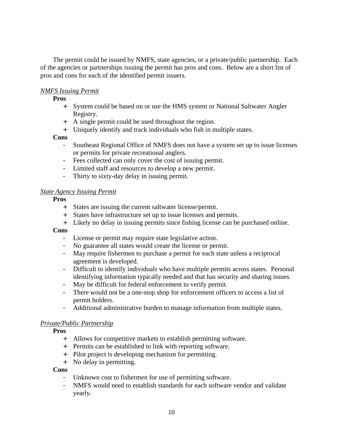The permit could be issued by NMFS, state agencies, or a private/public partnership. Each of the agencies or partnerships issuing the permit has pros and cons. Below are a short list of pros and cons for each of the identified permit issuers.

#### *NMFS Issuing Permit*

**Pros**

- + System could be based on or use the HMS system or National Saltwater Angler Registry.
- + A single permit could be used throughout the region.
- + Uniquely identify and track individuals who fish in multiple states.

**Cons**

- Southeast Regional Office of NMFS does not have a system set up to issue licenses or permits for private recreational anglers.
- Fees collected can only cover the cost of issuing permit.
- Limited staff and resources to develop a new permit.
- Thirty to sixty-day delay in issuing permit.

#### *State Agency Issuing Permit*

**Pros**

- + States are issuing the current saltwater license/permit.
- + States have infrastructure set up to issue licenses and permits.
- + Likely no delay in issuing permits since fishing license can be purchased online.

**Cons**

- License or permit may require state legislative action.
- No guarantee all states would create the license or permit.
- May require fishermen to purchase a permit for each state unless a reciprocal agreement is developed.
- Difficult to identify individuals who have multiple permits across states. Personal identifying information typically needed and that has security and sharing issues.
- May be difficult for federal enforcement to verify permit.
- There would not be a one-stop shop for enforcement officers to access a list of permit holders.
- Additional administrative burden to manage information from multiple states.

#### *Private/Public Partnership*

**Pros**

- + Allows for competitive markets to establish permitting software.
- + Permits can be established to link with reporting software.
- + Pilot project is developing mechanism for permitting.
- + No delay in permitting.

#### **Cons**

- Unknown cost to fishermen for use of permitting software.
- NMFS would need to establish standards for each software vendor and validate yearly.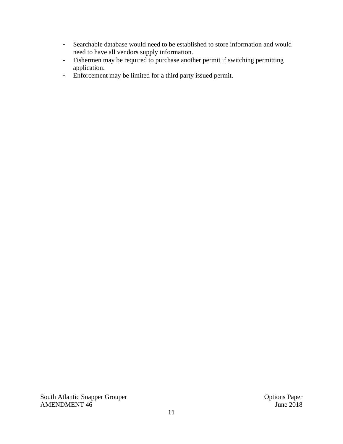- Searchable database would need to be established to store information and would need to have all vendors supply information.
- Fishermen may be required to purchase another permit if switching permitting application.
- Enforcement may be limited for a third party issued permit.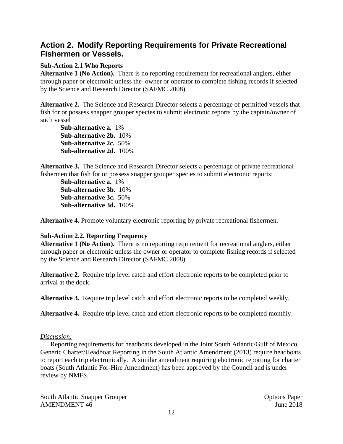### **Action 2. Modify Reporting Requirements for Private Recreational Fishermen or Vessels.**

#### **Sub-Action 2.1 Who Reports**

**Alternative 1 (No Action).** There is no reporting requirement for recreational anglers, either through paper or electronic unless the owner or operator to complete fishing records if selected by the Science and Research Director (SAFMC 2008).

**Alternative 2.** The Science and Research Director selects a percentage of permitted vessels that fish for or possess snapper grouper species to submit electronic reports by the captain/owner of such vessel

**Sub-alternative a.** 1% **Sub-alternative 2b.** 10% **Sub-alternative 2c.** 50% **Sub-alternative 2d.** 100%

**Alternative 3.** The Science and Research Director selects a percentage of private recreational fishermen that fish for or possess snapper grouper species to submit electronic reports:

**Sub-alternative a.** 1% **Sub-alternative 3b.** 10% **Sub-alternative 3c.** 50% **Sub-alternative 3d.** 100%

**Alternative 4.** Promote voluntary electronic reporting by private recreational fishermen.

#### **Sub-Action 2.2. Reporting Frequency**

**Alternative 1 (No Action).** There is no reporting requirement for recreational anglers, either through paper or electronic unless the owner or operator to complete fishing records if selected by the Science and Research Director (SAFMC 2008).

**Alternative 2.** Require trip level catch and effort electronic reports to be completed prior to arrival at the dock.

**Alternative 3.** Require trip level catch and effort electronic reports to be completed weekly.

**Alternative 4.** Require trip level catch and effort electronic reports to be completed monthly.

#### *Discussion:*

Reporting requirements for headboats developed in the Joint South Atlantic/Gulf of Mexico Generic Charter/Headboat Reporting in the South Atlantic Amendment (2013) require headboats to report each trip electronically. A similar amendment requiring electronic reporting for charter boats (South Atlantic For-Hire Amendment) has been approved by the Council and is under review by NMFS.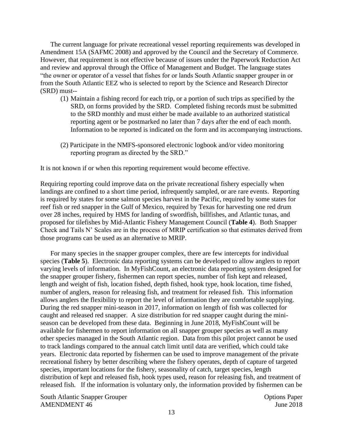The current language for private recreational vessel reporting requirements was developed in Amendment 15A (SAFMC 2008) and approved by the Council and the Secretary of Commerce. However, that requirement is not effective because of issues under the Paperwork Reduction Act and review and approval through the Office of Management and Budget. The language states "the owner or operator of a vessel that fishes for or lands South Atlantic snapper grouper in or from the South Atlantic EEZ who is selected to report by the Science and Research Director (SRD) must--

- (1) Maintain a fishing record for each trip, or a portion of such trips as specified by the SRD, on forms provided by the SRD. Completed fishing records must be submitted to the SRD monthly and must either be made available to an authorized statistical reporting agent or be postmarked no later than 7 days after the end of each month. Information to be reported is indicated on the form and its accompanying instructions.
- (2) Participate in the NMFS-sponsored electronic logbook and/or video monitoring reporting program as directed by the SRD."

It is not known if or when this reporting requirement would become effective.

Requiring reporting could improve data on the private recreational fishery especially when landings are confined to a short time period, infrequently sampled, or are rare events. Reporting is required by states for some salmon species harvest in the Pacific, required by some states for reef fish or red snapper in the Gulf of Mexico, required by Texas for harvesting one red drum over 28 inches, required by HMS for landing of swordfish, billfishes, and Atlantic tunas, and proposed for tilefishes by Mid-Atlantic Fishery Management Council (**Table 4**). Both Snapper Check and Tails N' Scales are in the process of MRIP certification so that estimates derived from those programs can be used as an alternative to MRIP.

For many species in the snapper grouper complex, there are few intercepts for individual species (**Table 5**). Electronic data reporting systems can be developed to allow anglers to report varying levels of information. In MyFishCount, an electronic data reporting system designed for the snapper grouper fishery, fishermen can report species, number of fish kept and released, length and weight of fish, location fished, depth fished, hook type, hook location, time fished, number of anglers, reason for releasing fish, and treatment for released fish. This information allows anglers the flexibility to report the level of information they are comfortable supplying. During the red snapper mini-season in 2017, information on length of fish was collected for caught and released red snapper. A size distribution for red snapper caught during the miniseason can be developed from these data. Beginning in June 2018, MyFishCount will be available for fishermen to report information on all snapper grouper species as well as many other species managed in the South Atlantic region. Data from this pilot project cannot be used to track landings compared to the annual catch limit until data are verified, which could take years. Electronic data reported by fishermen can be used to improve management of the private recreational fishery by better describing where the fishery operates, depth of capture of targeted species, important locations for the fishery, seasonality of catch, target species, length distribution of kept and released fish, hook types used, reason for releasing fish, and treatment of released fish. If the information is voluntary only, the information provided by fishermen can be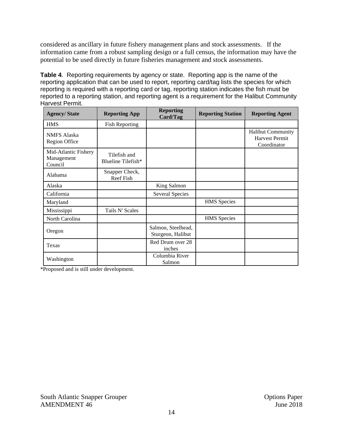considered as ancillary in future fishery management plans and stock assessments. If the information came from a robust sampling design or a full census, the information may have the potential to be used directly in future fisheries management and stock assessments.

**Table 4**. Reporting requirements by agency or state. Reporting app is the name of the reporting application that can be used to report, reporting card/tag lists the species for which reporting is required with a reporting card or tag, reporting station indicates the fish must be reported to a reporting station, and reporting agent is a requirement for the Halibut Community Harvest Permit.

| <b>Agency/State</b>                           | <b>Reporting App</b>               | <b>Reporting</b><br>Card/Tag            | <b>Reporting Station</b> | <b>Reporting Agent</b>                                           |  |
|-----------------------------------------------|------------------------------------|-----------------------------------------|--------------------------|------------------------------------------------------------------|--|
| <b>HMS</b>                                    | <b>Fish Reporting</b>              |                                         |                          |                                                                  |  |
| <b>NMFS</b> Alaska<br>Region Office           |                                    |                                         |                          | <b>Halibut Community</b><br><b>Harvest Permit</b><br>Coordinator |  |
| Mid-Atlantic Fishery<br>Management<br>Council | Tilefish and<br>Blueline Tilefish* |                                         |                          |                                                                  |  |
| Alabama                                       | Snapper Check,<br>Reef Fish        |                                         |                          |                                                                  |  |
| Alaska                                        |                                    | King Salmon                             |                          |                                                                  |  |
| California                                    |                                    | <b>Several Species</b>                  |                          |                                                                  |  |
| Maryland                                      |                                    |                                         | <b>HMS</b> Species       |                                                                  |  |
| Mississippi                                   | Tails N' Scales                    |                                         |                          |                                                                  |  |
| North Carolina                                |                                    |                                         | <b>HMS</b> Species       |                                                                  |  |
| Oregon                                        |                                    | Salmon, Steelhead,<br>Sturgeon, Halibut |                          |                                                                  |  |
| Texas                                         |                                    | Red Drum over 28<br>inches              |                          |                                                                  |  |
| Washington                                    |                                    | Columbia River<br>Salmon                |                          |                                                                  |  |

\*Proposed and is still under development.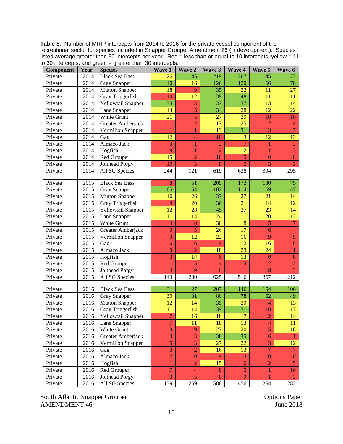**Table 5**. Number of MRIP intercepts from 2014 to 2016 for the private vessel component of the recreational sector for species included in Snapper Grouper Amendment 26 (in development). Species listed average greater than 30 intercepts per year. Red = less than or equal to 10 intercepts, yellow = 11 to 30 intercepts, and green = greater than 30 intercepts.

| <b>Component</b> | Year | <b>Species</b>        | Wave 1          | Wave 2           | Wave 3         | Wave 4         | Wave 5           | Wave 6           |
|------------------|------|-----------------------|-----------------|------------------|----------------|----------------|------------------|------------------|
| Private          | 2014 | <b>Black Sea Bass</b> | 26              | 45               | 219            | 207            | 145              | 77               |
| Private          | 2014 | <b>Gray Snapper</b>   | 40              | 16               | 126            | 120            | 66               | 78               |
| Private          | 2014 | <b>Mutton Snapper</b> | 18              | 9                | 35             | 22             | 11               | 27               |
| Private          | 2014 | Gray Triggerfish      | 10              | 12               | 39             | 48             | 11               | 11               |
| Private          | 2014 | Yellowtail Snapper    | 33              | 3                | 37             | 37             | 13               | 14               |
| Private          | 2014 | Lane Snapper          | 14              | $\overline{5}$   | 34             | 28             | 12               | 22               |
| Private          | 2014 | White Grunt           | $\overline{21}$ | 5                | 27             | 29             | 10               | 10               |
| Private          | 2014 | Greater Amberjack     | 1               | $\overline{c}$   | 17             | 25             | $\overline{2}$   | $\overline{4}$   |
| Private          | 2014 | Vermilion Snapper     | $\mathbf{1}$    | 1                | 13             | 31             | $\overline{3}$   | $\overline{7}$   |
| Private          | 2014 | Gag                   | 12              | $\overline{4}$   | 10             | 13             | 12               | 13               |
| Private          | 2014 | Almaco Jack           | $\mathbf{0}$    | 1                | $\overline{2}$ | $\overline{7}$ | $\mathbf{1}$     | $\overline{2}$   |
| Private          | 2014 | Hogfish               | 9               | 1                | $\overline{2}$ | 12             | $\mathbf{1}$     | $\overline{3}$   |
| Private          | 2014 | Red Grouper           | 15              | $\overline{2}$   | 10             | $\overline{5}$ | $\overline{0}$   | $\overline{8}$   |
| Private          | 2014 | Jolthead Porgy        | 10              | $\overline{3}$   | 8              | $\overline{2}$ | $\overline{3}$   | $\overline{2}$   |
| Private          | 2014 | All SG Species        | 244             | 121              | 619            | 638            | 304              | 295              |
|                  |      |                       |                 |                  |                |                |                  |                  |
| Private          | 2015 | <b>Black Sea Bass</b> | 8               | 51               | 209            | 172            | 130              | 75               |
| Private          | 2015 | <b>Gray Snapper</b>   | 65              | 54               | 102            | 114            | 69               | 47               |
| Private          | 2015 | <b>Mutton Snapper</b> | 16              | 26               | 37             | 27             | 21               | 14               |
| Private          | 2015 | Gray Triggerfish      | $\overline{4}$  | 20               | 36             | 21             | 14               | 12               |
| Private          | 2015 | Yellowtail Snapper    | 12              | 28               | 45             | 27             | 23               | 14               |
| Private          | 2015 | Lane Snapper          | 11              | 14               | 24             | 11             | 20               | 12               |
| Private          | 2015 | White Grunt           | $\overline{4}$  | $\bf 8$          | 30             | 18             | 5                | $\tau$           |
| Private          | 2015 | Greater Amberjack     | $\mathbf{0}$    | 5                | 26             | 17             | 6                | $\overline{4}$   |
| Private          | 2015 | Vermilion Snapper     | $\mathbf{0}$    | 12               | 22             | 16             | 9                | $\overline{5}$   |
| Private          | 2015 | Gag                   | 6               | 6                | 9              | 12             | 16               | $\boldsymbol{6}$ |
| Private          | 2015 | Almaco Jack           | $\mathbf{0}$    | $\overline{2}$   | 18             | 23             | 24               | $\mathbf{1}$     |
| Private          | 2015 | Hogfish               | 3               | 14               | 6              | 13             | $\overline{0}$   | $\boldsymbol{0}$ |
| Private          | 2015 | Red Grouper           | 1               | 5                | $\overline{4}$ | 3              | $\overline{2}$   | $\overline{2}$   |
| Private          | 2015 | Jolthead Porgy        | $\overline{4}$  | 9                | 6              |                | $\bf 8$          | 3                |
| Private          | 2015 | All SG Species        | 143             | 280              | 625            | 516            | 367              | 212              |
|                  |      |                       |                 |                  |                |                |                  |                  |
| Private          | 2016 | <b>Black Sea Bass</b> | 31              | 127              | 207            | 146            | 154              | 106              |
| Private          | 2016 | <b>Gray Snapper</b>   | 30              | 31               | 80             | 78             | 62               | 49               |
| Private          | 2016 | <b>Mutton Snapper</b> | 12              | 14               | 35             | 29             | $\overline{4}$   | 13               |
| Private          | 2016 | Gray Triggerfish      | 11              | 14               | 39             | 31             | 10               | 17               |
| Private          | 2016 | Yellowtail Snapper    | $\overline{7}$  | 16               | 18             | 17             | $\overline{c}$   | 14               |
| Private          | 2016 | Lane Snapper          | $\overline{7}$  | 11               | 18             | 13             | $\overline{4}$   | 11               |
| Private          | 2016 | White Grunt           | 8               | 9                | 27             | 20             | 5                | 18               |
| Private          | 2016 | Greater Amberjack     | 3               | $\overline{3}$   | 38             | 35             | $\boldsymbol{6}$ | $\mathbf{1}$     |
| Private          | 2016 | Vermilion Snapper     | 5               | $\overline{3}$   | 27             | 22             | $\overline{3}$   | 12               |
| Private          | 2016 | Gag                   | 3               | $\overline{c}$   | 16             | 13             | $\overline{7}$   | $\overline{7}$   |
| Private          | 2016 | Almaco Jack           | $\overline{c}$  | $\boldsymbol{0}$ | 9              | 3              | $\boldsymbol{0}$ | $\boldsymbol{0}$ |
| Private          | 2016 | Hogfish               | 1               | $\overline{2}$   | 15             | 6              | $\overline{2}$   | $\overline{5}$   |
| Private          | 2016 | Red Grouper           | $\overline{7}$  | $\overline{4}$   | $\bf 8$        | 5              | $\mathbf{1}$     | 10               |
| Private          | 2016 | Jolthead Porgy        | 3               | $\mathfrak{S}$   | $\bf 8$        | 9              | 1                | $\overline{2}$   |
| Private          | 2016 | All SG Species        | 139             | 259              | 586            | 456            | 264              | 282              |

South Atlantic Snapper Grouper<br>
AMENDMENT 46<br>
June 2018 AMENDMENT 46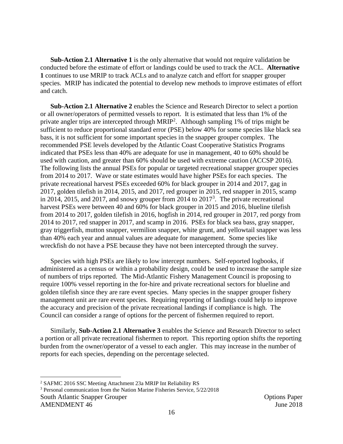**Sub-Action 2.1 Alternative 1** is the only alternative that would not require validation be conducted before the estimate of effort or landings could be used to track the ACL. **Alternative 1** continues to use MRIP to track ACLs and to analyze catch and effort for snapper grouper species. MRIP has indicated the potential to develop new methods to improve estimates of effort and catch.

**Sub-Action 2.1 Alternative 2** enables the Science and Research Director to select a portion or all owner/operators of permitted vessels to report. It is estimated that less than 1% of the private angler trips are intercepted through MRIP<sup>2</sup>. Although sampling 1% of trips might be sufficient to reduce proportional standard error (PSE) below 40% for some species like black sea bass, it is not sufficient for some important species in the snapper grouper complex. The recommended PSE levels developed by the Atlantic Coast Cooperative Statistics Programs indicated that PSEs less than 40% are adequate for use in management, 40 to 60% should be used with caution, and greater than 60% should be used with extreme caution (ACCSP 2016). The following lists the annual PSEs for popular or targeted recreational snapper grouper species from 2014 to 2017. Wave or state estimates would have higher PSEs for each species. The private recreational harvest PSEs exceeded 60% for black grouper in 2014 and 2017, gag in 2017, golden tilefish in 2014, 2015, and 2017, red grouper in 2015, red snapper in 2015, scamp in 2014, 2015, and 2017, and snowy grouper from 2014 to  $2017<sup>3</sup>$ . The private recreational harvest PSEs were between 40 and 60% for black grouper in 2015 and 2016, blueline tilefish from 2014 to 2017, golden tilefish in 2016, hogfish in 2014, red grouper in 2017, red porgy from 2014 to 2017, red snapper in 2017, and scamp in 2016. PSEs for black sea bass, gray snapper, gray triggerfish, mutton snapper, vermilion snapper, white grunt, and yellowtail snapper was less than 40% each year and annual values are adequate for management. Some species like wreckfish do not have a PSE because they have not been intercepted through the survey.

Species with high PSEs are likely to low intercept numbers. Self-reported logbooks, if administered as a census or within a probability design, could be used to increase the sample size of numbers of trips reported. The Mid-Atlantic Fishery Management Council is proposing to require 100% vessel reporting in the for-hire and private recreational sectors for blueline and golden tilefish since they are rare event species. Many species in the snapper grouper fishery management unit are rare event species. Requiring reporting of landings could help to improve the accuracy and precision of the private recreational landings if compliance is high. The Council can consider a range of options for the percent of fishermen required to report.

Similarly, **Sub-Action 2.1 Alternative 3** enables the Science and Research Director to select a portion or all private recreational fishermen to report. This reporting option shifts the reporting burden from the owner/operator of a vessel to each angler. This may increase in the number of reports for each species, depending on the percentage selected.

<sup>2</sup> SAFMC 2016 SSC Meeting Attachment 23a MRIP Int Reliability RS

South Atlantic Snapper Grouper  $\Box$ AMENDMENT 46 June 2018 <sup>3</sup> Personal communication from the Nation Marine Fisheries Service, 5/22/2018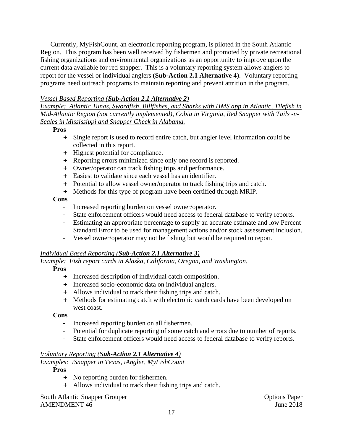Currently, MyFishCount, an electronic reporting program, is piloted in the South Atlantic Region. This program has been well received by fishermen and promoted by private recreational fishing organizations and environmental organizations as an opportunity to improve upon the current data available for red snapper. This is a voluntary reporting system allows anglers to report for the vessel or individual anglers (**Sub-Action 2.1 Alternative 4**). Voluntary reporting programs need outreach programs to maintain reporting and prevent attrition in the program.

#### *Vessel Based Reporting (Sub-Action 2.1 Alternative 2)*

*Example: Atlantic Tunas, Swordfish, Billfishes, and Sharks with HMS app in Atlantic, Tilefish in Mid-Atlantic Region (not currently implemented), Cobia in Virginia, Red Snapper with Tails -n-Scales in Mississippi and Snapper Check in Alabama.* 

**Pros**

- + Single report is used to record entire catch, but angler level information could be collected in this report.
- + Highest potential for compliance.
- + Reporting errors minimized since only one record is reported.
- + Owner/operator can track fishing trips and performance.
- + Easiest to validate since each vessel has an identifier.
- + Potential to allow vessel owner/operator to track fishing trips and catch.
- + Methods for this type of program have been certified through MRIP.

**Cons**

- Increased reporting burden on vessel owner/operator.
- State enforcement officers would need access to federal database to verify reports.
- Estimating an appropriate percentage to supply an accurate estimate and low Percent Standard Error to be used for management actions and/or stock assessment inclusion.
- Vessel owner/operator may not be fishing but would be required to report.

#### *Individual Based Reporting (Sub-Action 2.1 Alternative 3)*

### *Example: Fish report cards in Alaska, California, Oregon, and Washington.*

#### **Pros**

- + Increased description of individual catch composition.
- + Increased socio-economic data on individual anglers.
- + Allows individual to track their fishing trips and catch.
- + Methods for estimating catch with electronic catch cards have been developed on west coast.

#### **Cons**

- Increased reporting burden on all fishermen.
- Potential for duplicate reporting of some catch and errors due to number of reports.
- State enforcement officers would need access to federal database to verify reports.

#### *Voluntary Reporting (Sub-Action 2.1 Alternative 4)*

#### *Examples: iSnapper in Texas, iAngler, MyFishCount*

#### **Pros**

- + No reporting burden for fishermen.
- + Allows individual to track their fishing trips and catch.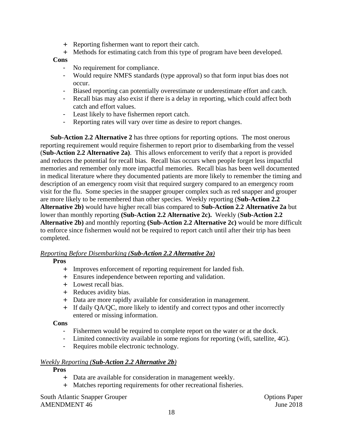- + Reporting fishermen want to report their catch.
- + Methods for estimating catch from this type of program have been developed.

#### **Cons**

- No requirement for compliance.
- Would require NMFS standards (type approval) so that form input bias does not occur.
- Biased reporting can potentially overestimate or underestimate effort and catch.
- Recall bias may also exist if there is a delay in reporting, which could affect both catch and effort values.
- Least likely to have fishermen report catch.
- Reporting rates will vary over time as desire to report changes.

**Sub-Action 2.2 Alternative 2** has three options for reporting options. The most onerous reporting requirement would require fishermen to report prior to disembarking from the vessel (**Sub-Action 2.2 Alternative 2a)**. This allows enforcement to verify that a report is provided and reduces the potential for recall bias. Recall bias occurs when people forget less impactful memories and remember only more impactful memories. Recall bias has been well documented in medical literature where they documented patients are more likely to remember the timing and description of an emergency room visit that required surgery compared to an emergency room visit for the flu. Some species in the snapper grouper complex such as red snapper and grouper are more likely to be remembered than other species. Weekly reporting (**Sub-Action 2.2 Alternative 2b)** would have higher recall bias compared to **Sub-Action 2.2 Alternative 2a** but lower than monthly reporting **(Sub-Action 2.2 Alternative 2c).** Weekly (**Sub-Action 2.2 Alternative 2b)** and monthly reporting **(Sub-Action 2.2 Alternative 2c)** would be more difficult to enforce since fishermen would not be required to report catch until after their trip has been completed.

#### *Reporting Before Disembarking (Sub-Action 2.2 Alternative 2a)*

#### **Pros**

- + Improves enforcement of reporting requirement for landed fish.
- + Ensures independence between reporting and validation.
- + Lowest recall bias.
- + Reduces avidity bias.
- + Data are more rapidly available for consideration in management.
- + If daily QA/QC, more likely to identify and correct typos and other incorrectly entered or missing information.

#### **Cons**

- Fishermen would be required to complete report on the water or at the dock.
- Limited connectivity available in some regions for reporting (wifi, satellite, 4G).
- Requires mobile electronic technology.

#### *Weekly Reporting (Sub-Action 2.2 Alternative 2b)*

#### **Pros**

- + Data are available for consideration in management weekly.
- + Matches reporting requirements for other recreational fisheries.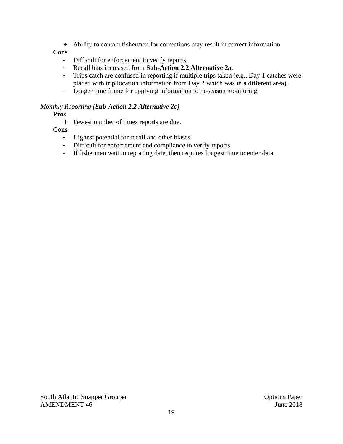+ Ability to contact fishermen for corrections may result in correct information.

#### **Cons**

- Difficult for enforcement to verify reports.
- Recall bias increased from **Sub-Action 2.2 Alternative 2a**.
- Trips catch are confused in reporting if multiple trips taken (e.g., Day 1 catches were placed with trip location information from Day 2 which was in a different area).
- Longer time frame for applying information to in-season monitoring.

#### *Monthly Reporting (Sub-Action 2.2 Alternative 2c)*

#### **Pros**

+ Fewest number of times reports are due.

#### **Cons**

- Highest potential for recall and other biases.
- Difficult for enforcement and compliance to verify reports.
- If fishermen wait to reporting date, then requires longest time to enter data.